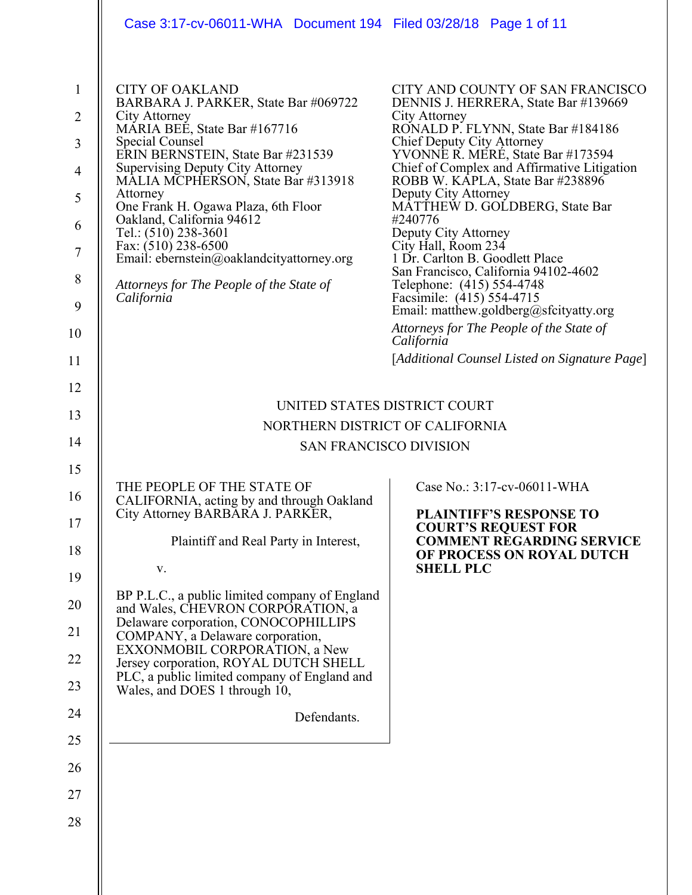|                                                                                            | Case 3:17-cv-06011-WHA Document 194 Filed 03/28/18 Page 1 of 11                                                                                                                                                                                                                                                                                                                                                                                                                                         |                                                                                                                                                                                                                                                                                                                                                                                                                                                                                                                                                                                                                                                                                                     |
|--------------------------------------------------------------------------------------------|---------------------------------------------------------------------------------------------------------------------------------------------------------------------------------------------------------------------------------------------------------------------------------------------------------------------------------------------------------------------------------------------------------------------------------------------------------------------------------------------------------|-----------------------------------------------------------------------------------------------------------------------------------------------------------------------------------------------------------------------------------------------------------------------------------------------------------------------------------------------------------------------------------------------------------------------------------------------------------------------------------------------------------------------------------------------------------------------------------------------------------------------------------------------------------------------------------------------------|
| $\mathbf{1}$<br>$\overline{2}$<br>3<br>$\overline{4}$<br>5<br>6<br>7<br>8<br>9<br>10<br>11 | <b>CITY OF OAKLAND</b><br>BARBARA J. PARKER, State Bar #069722<br>City Attorney<br>MARIA BEÉ, State Bar #167716<br><b>Special Counsel</b><br>ERIN BERNSTEIN, State Bar #231539<br><b>Supervising Deputy City Attorney</b><br>MALIA MCPHERSON, State Bar #313918<br>Attorney<br>One Frank H. Ogawa Plaza, 6th Floor<br>Oakland, California 94612<br>Tel.: (510) 238-3601<br>Fax: (510) 238-6500<br>Email: ebernstein@oaklandcityattorney.org<br>Attorneys for The People of the State of<br>California   | CITY AND COUNTY OF SAN FRANCISCO<br>DENNIS J. HERRERA, State Bar #139669<br>City Attorney<br>RONALD P. FLYNN, State Bar #184186<br>Chief Deputy City Attorney<br>YVONNE R. MERÉ, State Bar #173594<br>Chief of Complex and Affirmative Litigation<br>ROBB W. KĀPLA, State Bar #238896<br>Deputy City Attorney<br>MĀTTHEW D. GOLDBERG, State Bar<br>#240776<br>Deputy City Attorney<br>City Hall, Room 234<br>1 Dr. Carlton B. Goodlett Place<br>San Francisco, California 94102-4602<br>Telephone: (415) 554-4748<br>Facsimile: (415) 554-4715<br>Email: matthew.goldberg@sfcityatty.org<br>Attorneys for The People of the State of<br>California<br>[Additional Counsel Listed on Signature Page] |
| 12                                                                                         |                                                                                                                                                                                                                                                                                                                                                                                                                                                                                                         |                                                                                                                                                                                                                                                                                                                                                                                                                                                                                                                                                                                                                                                                                                     |
| 13                                                                                         | UNITED STATES DISTRICT COURT                                                                                                                                                                                                                                                                                                                                                                                                                                                                            |                                                                                                                                                                                                                                                                                                                                                                                                                                                                                                                                                                                                                                                                                                     |
|                                                                                            | NORTHERN DISTRICT OF CALIFORNIA                                                                                                                                                                                                                                                                                                                                                                                                                                                                         |                                                                                                                                                                                                                                                                                                                                                                                                                                                                                                                                                                                                                                                                                                     |
|                                                                                            | <b>SAN FRANCISCO DIVISION</b>                                                                                                                                                                                                                                                                                                                                                                                                                                                                           |                                                                                                                                                                                                                                                                                                                                                                                                                                                                                                                                                                                                                                                                                                     |
| 14<br>15<br>16<br>17<br>18<br>19<br>20<br>21<br>22<br>23<br>24<br>25<br>26<br>27<br>28     | THE PEOPLE OF THE STATE OF<br>CALIFORNIA, acting by and through Oakland<br>City Attorney BARBARA J. PARKER,<br>Plaintiff and Real Party in Interest,<br>V.<br>BP P.L.C., a public limited company of England<br>and Wales, CHEVRON CORPORATION, a<br>Delaware corporation, CONOCOPHILLIPS<br>COMPANY, a Delaware corporation,<br>EXXONMOBIL CORPORATION, a New<br>Jersey corporation, ROYAL DUTCH SHELL<br>PLC, a public limited company of England and<br>Wales, and DOES 1 through 10,<br>Defendants. | Case No.: 3:17-cv-06011-WHA<br><b>PLAINTIFF'S RESPONSE TO</b><br><b>COURT'S REQUEST FOR</b><br><b>COMMENT REGARDING SERVICE</b><br>OF PROCESS ON ROYAL DUTCH<br><b>SHELL PLC</b>                                                                                                                                                                                                                                                                                                                                                                                                                                                                                                                    |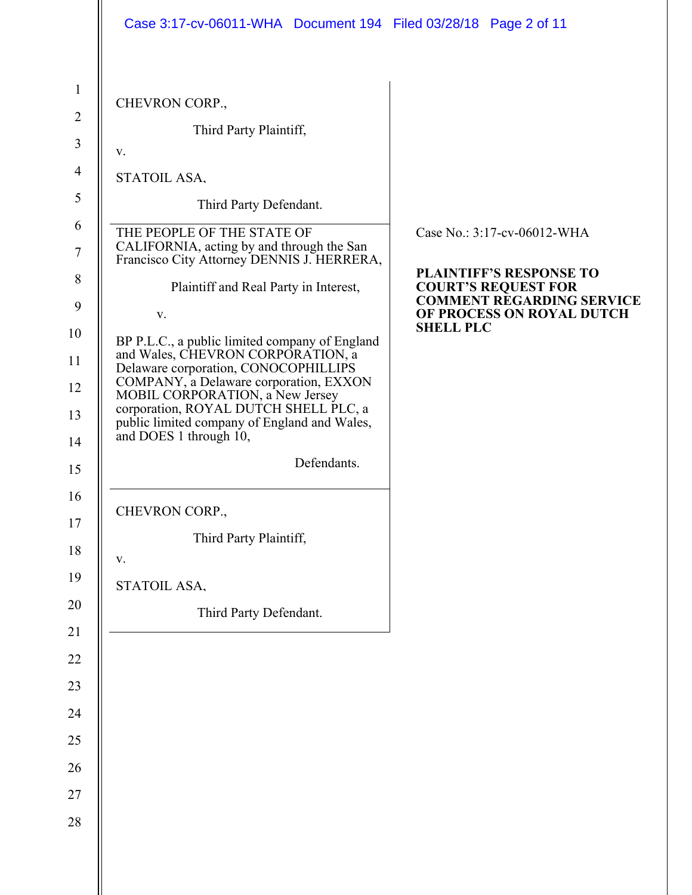|                | Case 3:17-cv-06011-WHA  Document 194  Filed 03/28/18  Page 2 of 11                                                    |                                                               |
|----------------|-----------------------------------------------------------------------------------------------------------------------|---------------------------------------------------------------|
| $\mathbf{1}$   | CHEVRON CORP.,                                                                                                        |                                                               |
| $\overline{2}$ | Third Party Plaintiff,                                                                                                |                                                               |
| 3              | V.                                                                                                                    |                                                               |
| $\overline{4}$ | STATOIL ASA,                                                                                                          |                                                               |
| 5              | Third Party Defendant.                                                                                                |                                                               |
| 6<br>7         | THE PEOPLE OF THE STATE OF<br>CALIFORNIA, acting by and through the San<br>Francisco City Attorney DENNIS J. HERRERA, | Case No.: 3:17-cv-06012-WHA                                   |
| 8              | Plaintiff and Real Party in Interest,                                                                                 | <b>PLAINTIFF'S RESPONSE TO</b><br><b>COURT'S REQUEST FOR</b>  |
| 9              | V.                                                                                                                    | <b>COMMENT REGARDING SERVICE</b><br>OF PROCESS ON ROYAL DUTCH |
| 10             | BP P.L.C., a public limited company of England                                                                        | <b>SHELL PLC</b>                                              |
| 11             | and Wales, CHEVRON CORPORATION, a<br>Delaware corporation, CONOCOPHILLIPS                                             |                                                               |
| 12             | COMPANY, a Delaware corporation, EXXON<br>MOBIL CORPORATION, a New Jersey                                             |                                                               |
| 13<br>14       | corporation, ROYAL DUTCH SHELL PLC, a<br>public limited company of England and Wales,<br>and DOES 1 through 10,       |                                                               |
| 15             | Defendants.                                                                                                           |                                                               |
| 16             | CHEVRON CORP.,                                                                                                        |                                                               |
| 17             | Third Party Plaintiff,                                                                                                |                                                               |
| 18<br>19       | V.                                                                                                                    |                                                               |
|                | STATOIL ASA,                                                                                                          |                                                               |
| 20             | Third Party Defendant.                                                                                                |                                                               |
| 21             |                                                                                                                       |                                                               |
| $22\,$         |                                                                                                                       |                                                               |
| 23             |                                                                                                                       |                                                               |
| 24             |                                                                                                                       |                                                               |
| $25\,$         |                                                                                                                       |                                                               |
| 26             |                                                                                                                       |                                                               |
| $27\,$         |                                                                                                                       |                                                               |
| 28             |                                                                                                                       |                                                               |
|                |                                                                                                                       |                                                               |
|                |                                                                                                                       |                                                               |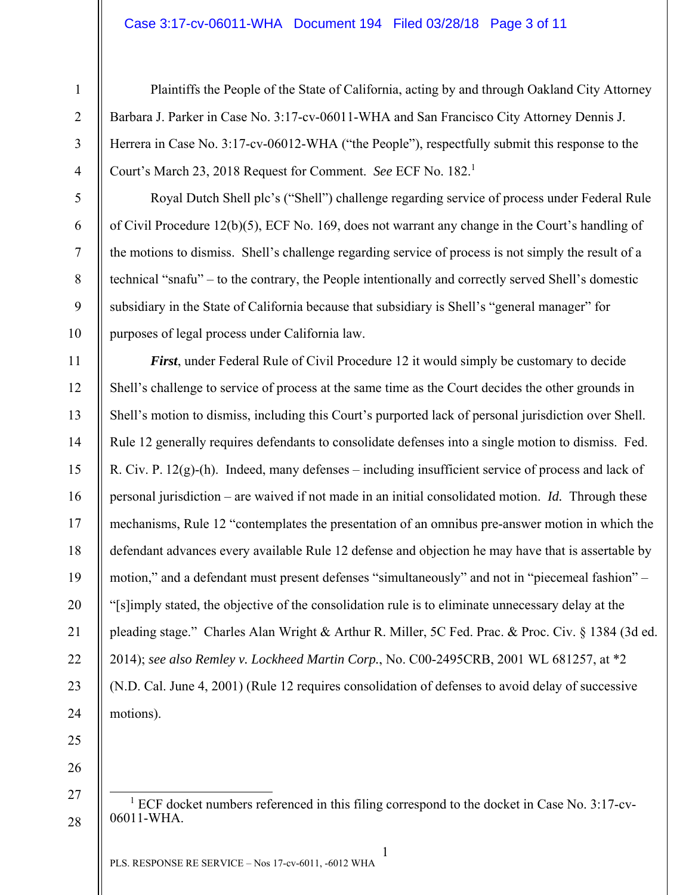### Case 3:17-cv-06011-WHA Document 194 Filed 03/28/18 Page 3 of 11

Plaintiffs the People of the State of California, acting by and through Oakland City Attorney Barbara J. Parker in Case No. 3:17-cv-06011-WHA and San Francisco City Attorney Dennis J. Herrera in Case No. 3:17-cv-06012-WHA ("the People"), respectfully submit this response to the Court's March 23, 2018 Request for Comment. *See* ECF No. 182.<sup>1</sup>

Royal Dutch Shell plc's ("Shell") challenge regarding service of process under Federal Rule of Civil Procedure 12(b)(5), ECF No. 169, does not warrant any change in the Court's handling of the motions to dismiss. Shell's challenge regarding service of process is not simply the result of a technical "snafu" – to the contrary, the People intentionally and correctly served Shell's domestic subsidiary in the State of California because that subsidiary is Shell's "general manager" for purposes of legal process under California law.

*First*, under Federal Rule of Civil Procedure 12 it would simply be customary to decide Shell's challenge to service of process at the same time as the Court decides the other grounds in Shell's motion to dismiss, including this Court's purported lack of personal jurisdiction over Shell. Rule 12 generally requires defendants to consolidate defenses into a single motion to dismiss. Fed. R. Civ. P.  $12(g)$ -(h). Indeed, many defenses – including insufficient service of process and lack of personal jurisdiction – are waived if not made in an initial consolidated motion. *Id.* Through these mechanisms, Rule 12 "contemplates the presentation of an omnibus pre-answer motion in which the defendant advances every available Rule 12 defense and objection he may have that is assertable by motion," and a defendant must present defenses "simultaneously" and not in "piecemeal fashion" – "[s]imply stated, the objective of the consolidation rule is to eliminate unnecessary delay at the pleading stage." Charles Alan Wright & Arthur R. Miller, 5C Fed. Prac. & Proc. Civ. § 1384 (3d ed. 2014); *see also Remley v. Lockheed Martin Corp.*, No. C00-2495CRB, 2001 WL 681257, at \*2 (N.D. Cal. June 4, 2001) (Rule 12 requires consolidation of defenses to avoid delay of successive motions).

25

1

2

3

4

5

6

7

8

9

10

11

12

13

14

15

16

17

18

19

20

21

22

23

24

26 27

28

 $\frac{1}{1}$  $1$  ECF docket numbers referenced in this filing correspond to the docket in Case No. 3:17-cv-06011-WHA.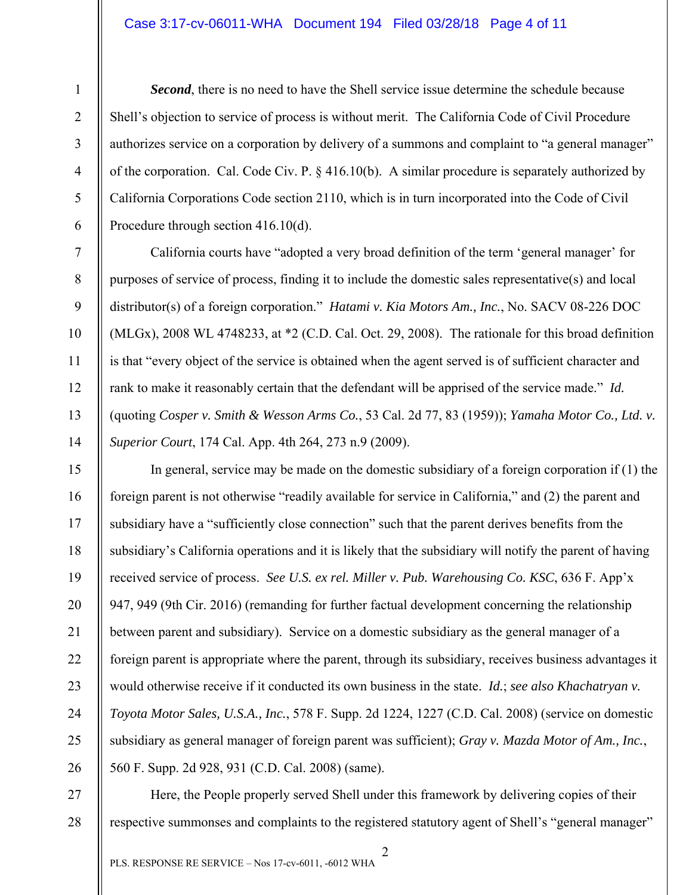### Case 3:17-cv-06011-WHA Document 194 Filed 03/28/18 Page 4 of 11

7

8

9

10

11

12

13

14

27

28

1

*Second*, there is no need to have the Shell service issue determine the schedule because Shell's objection to service of process is without merit. The California Code of Civil Procedure authorizes service on a corporation by delivery of a summons and complaint to "a general manager" of the corporation. Cal. Code Civ. P. § 416.10(b). A similar procedure is separately authorized by California Corporations Code section 2110, which is in turn incorporated into the Code of Civil Procedure through section 416.10(d).

California courts have "adopted a very broad definition of the term 'general manager' for purposes of service of process, finding it to include the domestic sales representative(s) and local distributor(s) of a foreign corporation." *Hatami v. Kia Motors Am., Inc.*, No. SACV 08-226 DOC (MLGx), 2008 WL 4748233, at \*2 (C.D. Cal. Oct. 29, 2008). The rationale for this broad definition is that "every object of the service is obtained when the agent served is of sufficient character and rank to make it reasonably certain that the defendant will be apprised of the service made." *Id.* (quoting *Cosper v. Smith & Wesson Arms Co.*, 53 Cal. 2d 77, 83 (1959)); *Yamaha Motor Co., Ltd. v. Superior Court*, 174 Cal. App. 4th 264, 273 n.9 (2009).

15 16 17 18 19 20 21 22 23 24 25 26 In general, service may be made on the domestic subsidiary of a foreign corporation if (1) the foreign parent is not otherwise "readily available for service in California," and (2) the parent and subsidiary have a "sufficiently close connection" such that the parent derives benefits from the subsidiary's California operations and it is likely that the subsidiary will notify the parent of having received service of process. *See U.S. ex rel. Miller v. Pub. Warehousing Co. KSC*, 636 F. App'x 947, 949 (9th Cir. 2016) (remanding for further factual development concerning the relationship between parent and subsidiary). Service on a domestic subsidiary as the general manager of a foreign parent is appropriate where the parent, through its subsidiary, receives business advantages it would otherwise receive if it conducted its own business in the state. *Id.*; *see also Khachatryan v. Toyota Motor Sales, U.S.A., Inc.*, 578 F. Supp. 2d 1224, 1227 (C.D. Cal. 2008) (service on domestic subsidiary as general manager of foreign parent was sufficient); *Gray v. Mazda Motor of Am., Inc.*, 560 F. Supp. 2d 928, 931 (C.D. Cal. 2008) (same).

Here, the People properly served Shell under this framework by delivering copies of their respective summonses and complaints to the registered statutory agent of Shell's "general manager"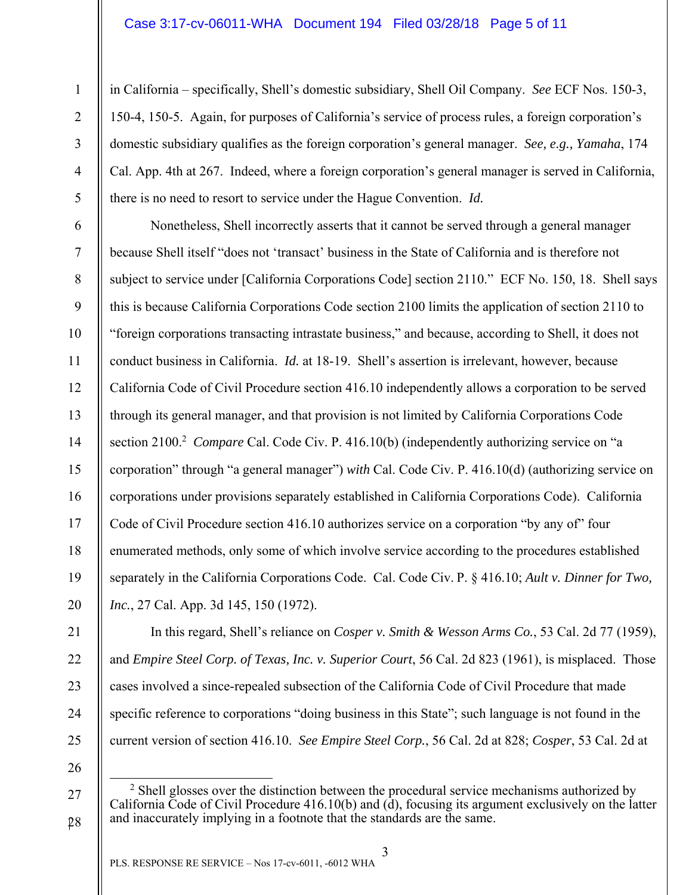## Case 3:17-cv-06011-WHA Document 194 Filed 03/28/18 Page 5 of 11

2 3

4

5

1

in California – specifically, Shell's domestic subsidiary, Shell Oil Company. *See* ECF Nos. 150-3, 150-4, 150-5. Again, for purposes of California's service of process rules, a foreign corporation's domestic subsidiary qualifies as the foreign corporation's general manager. *See, e.g., Yamaha*, 174 Cal. App. 4th at 267. Indeed, where a foreign corporation's general manager is served in California, there is no need to resort to service under the Hague Convention. *Id.*

6 7 8 9 10 11 12 13 14 15 16 17 18 19 20 Nonetheless, Shell incorrectly asserts that it cannot be served through a general manager because Shell itself "does not 'transact' business in the State of California and is therefore not subject to service under [California Corporations Code] section 2110." ECF No. 150, 18. Shell says this is because California Corporations Code section 2100 limits the application of section 2110 to "foreign corporations transacting intrastate business," and because, according to Shell, it does not conduct business in California. *Id.* at 18-19. Shell's assertion is irrelevant, however, because California Code of Civil Procedure section 416.10 independently allows a corporation to be served through its general manager, and that provision is not limited by California Corporations Code section 2100.<sup>2</sup> *Compare* Cal. Code Civ. P. 416.10(b) (independently authorizing service on "a corporation" through "a general manager") *with* Cal. Code Civ. P. 416.10(d) (authorizing service on corporations under provisions separately established in California Corporations Code). California Code of Civil Procedure section 416.10 authorizes service on a corporation "by any of" four enumerated methods, only some of which involve service according to the procedures established separately in the California Corporations Code. Cal. Code Civ. P. § 416.10; *Ault v. Dinner for Two, Inc.*, 27 Cal. App. 3d 145, 150 (1972).

22 23 24

21

- 25
- 26

27

28

In this regard, Shell's reliance on *Cosper v. Smith & Wesson Arms Co.*, 53 Cal. 2d 77 (1959),

and *Empire Steel Corp. of Texas, Inc. v. Superior Court*, 56 Cal. 2d 823 (1961), is misplaced. Those

cases involved a since-repealed subsection of the California Code of Civil Procedure that made

specific reference to corporations "doing business in this State"; such language is not found in the

current version of section 416.10. *See Empire Steel Corp.*, 56 Cal. 2d at 828; *Cosper*, 53 Cal. 2d at

<sup>&</sup>lt;sup>2</sup> Shell glosses over the distinction between the procedural service mechanisms authorized by California Code of Civil Procedure 416.10(b) and (d), focusing its argument exclusively on the latter and inaccurately implying in a footnote that the standards are the same.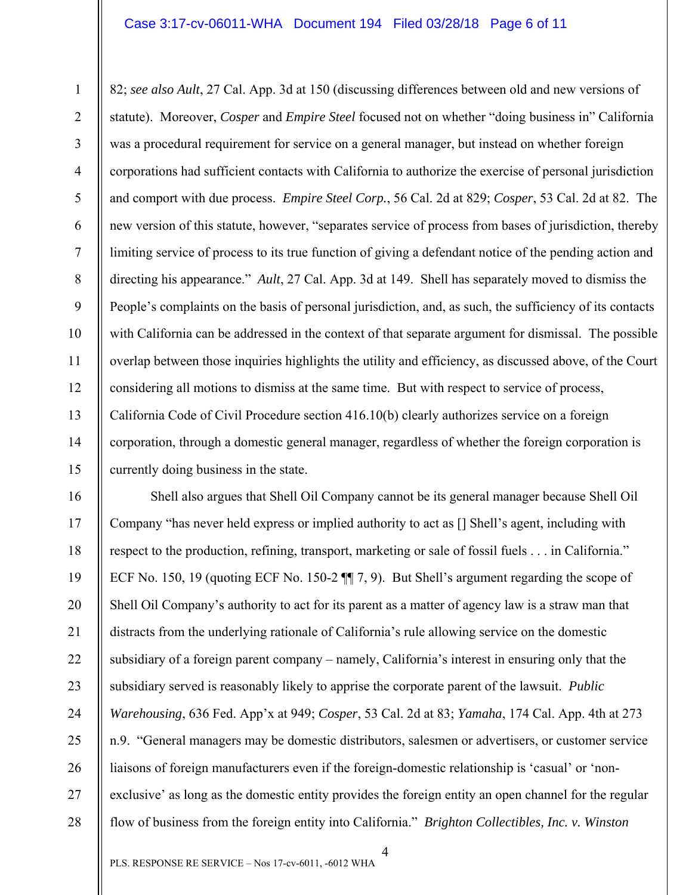#### Case 3:17-cv-06011-WHA Document 194 Filed 03/28/18 Page 6 of 11

1 2 3 4 5 6 7 8 9 10 11 12 13 14 15 82; *see also Ault*, 27 Cal. App. 3d at 150 (discussing differences between old and new versions of statute). Moreover, *Cosper* and *Empire Steel* focused not on whether "doing business in" California was a procedural requirement for service on a general manager, but instead on whether foreign corporations had sufficient contacts with California to authorize the exercise of personal jurisdiction and comport with due process. *Empire Steel Corp.*, 56 Cal. 2d at 829; *Cosper*, 53 Cal. 2d at 82. The new version of this statute, however, "separates service of process from bases of jurisdiction, thereby limiting service of process to its true function of giving a defendant notice of the pending action and directing his appearance." *Ault*, 27 Cal. App. 3d at 149. Shell has separately moved to dismiss the People's complaints on the basis of personal jurisdiction, and, as such, the sufficiency of its contacts with California can be addressed in the context of that separate argument for dismissal. The possible overlap between those inquiries highlights the utility and efficiency, as discussed above, of the Court considering all motions to dismiss at the same time. But with respect to service of process, California Code of Civil Procedure section 416.10(b) clearly authorizes service on a foreign corporation, through a domestic general manager, regardless of whether the foreign corporation is currently doing business in the state.

16 17 18 19 20 21 22 23 24 25 26 27 28 Shell also argues that Shell Oil Company cannot be its general manager because Shell Oil Company "has never held express or implied authority to act as [] Shell's agent, including with respect to the production, refining, transport, marketing or sale of fossil fuels . . . in California." ECF No. 150, 19 (quoting ECF No. 150-2 ¶¶ 7, 9). But Shell's argument regarding the scope of Shell Oil Company's authority to act for its parent as a matter of agency law is a straw man that distracts from the underlying rationale of California's rule allowing service on the domestic subsidiary of a foreign parent company – namely, California's interest in ensuring only that the subsidiary served is reasonably likely to apprise the corporate parent of the lawsuit. *Public Warehousing*, 636 Fed. App'x at 949; *Cosper*, 53 Cal. 2d at 83; *Yamaha*, 174 Cal. App. 4th at 273 n.9. "General managers may be domestic distributors, salesmen or advertisers, or customer service liaisons of foreign manufacturers even if the foreign-domestic relationship is 'casual' or 'nonexclusive' as long as the domestic entity provides the foreign entity an open channel for the regular flow of business from the foreign entity into California." *Brighton Collectibles, Inc. v. Winston*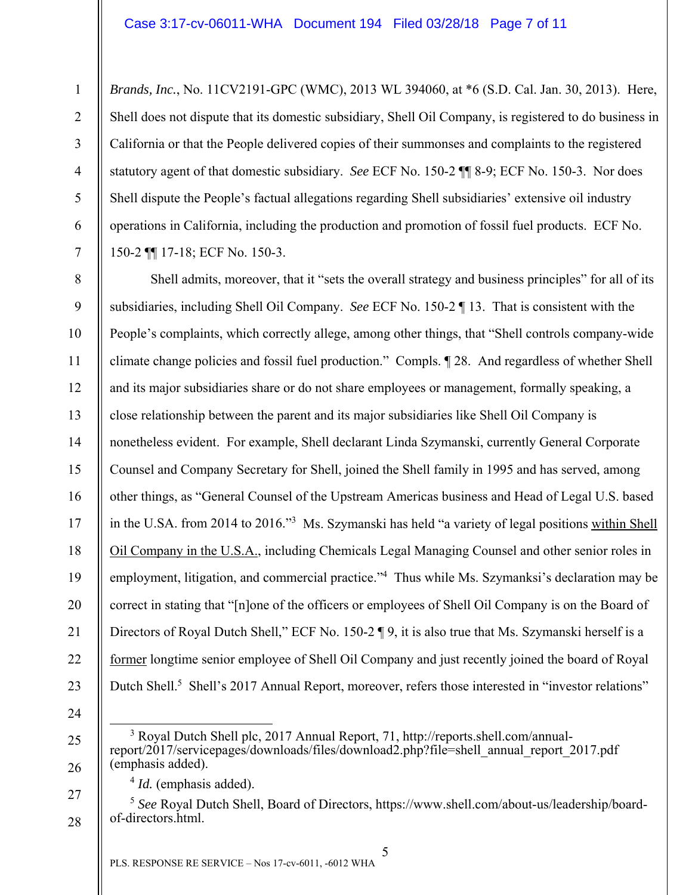*Brands, Inc.*, No. 11CV2191-GPC (WMC), 2013 WL 394060, at \*6 (S.D. Cal. Jan. 30, 2013). Here, Shell does not dispute that its domestic subsidiary, Shell Oil Company, is registered to do business in California or that the People delivered copies of their summonses and complaints to the registered statutory agent of that domestic subsidiary. *See* ECF No. 150-2 ¶¶ 8-9; ECF No. 150-3. Nor does Shell dispute the People's factual allegations regarding Shell subsidiaries' extensive oil industry operations in California, including the production and promotion of fossil fuel products. ECF No. 150-2 ¶¶ 17-18; ECF No. 150-3.

8 9 10 11 12 13 14 15 16 17 18 19 20 21 22 23 Shell admits, moreover, that it "sets the overall strategy and business principles" for all of its subsidiaries, including Shell Oil Company. *See* ECF No. 150-2 ¶ 13. That is consistent with the People's complaints, which correctly allege, among other things, that "Shell controls company-wide climate change policies and fossil fuel production." Compls. ¶ 28. And regardless of whether Shell and its major subsidiaries share or do not share employees or management, formally speaking, a close relationship between the parent and its major subsidiaries like Shell Oil Company is nonetheless evident. For example, Shell declarant Linda Szymanski, currently General Corporate Counsel and Company Secretary for Shell, joined the Shell family in 1995 and has served, among other things, as "General Counsel of the Upstream Americas business and Head of Legal U.S. based in the U.SA. from 2014 to 2016."<sup>3</sup> Ms. Szymanski has held "a variety of legal positions within Shell Oil Company in the U.S.A., including Chemicals Legal Managing Counsel and other senior roles in employment, litigation, and commercial practice."<sup>4</sup> Thus while Ms. Szymanksi's declaration may be correct in stating that "[n]one of the officers or employees of Shell Oil Company is on the Board of Directors of Royal Dutch Shell," ECF No. 150-2 ¶ 9, it is also true that Ms. Szymanski herself is a former longtime senior employee of Shell Oil Company and just recently joined the board of Royal Dutch Shell.<sup>5</sup> Shell's 2017 Annual Report, moreover, refers those interested in "investor relations"

24

25

26

27

1

2

3

4

5

6

7

 $\frac{1}{3}$  Royal Dutch Shell plc, 2017 Annual Report, 71, http://reports.shell.com/annualreport/2017/servicepages/downloads/files/download2.php?file=shell\_annual\_report\_2017.pdf (emphasis added).

<sup>4</sup> *Id.* (emphasis added).

<sup>28</sup>  <sup>5</sup> *See* Royal Dutch Shell, Board of Directors, https://www.shell.com/about-us/leadership/boardof-directors.html.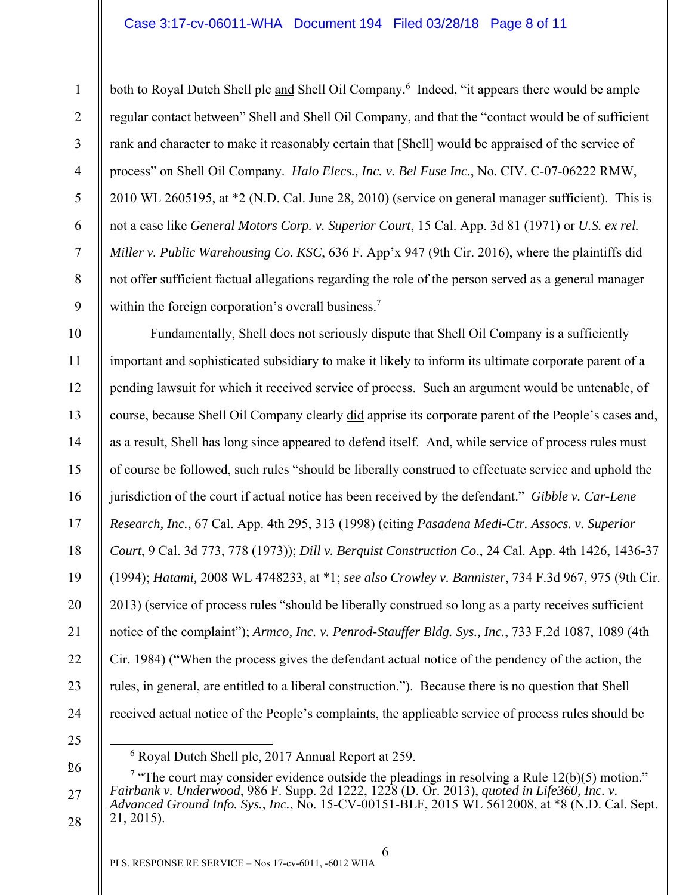# Case 3:17-cv-06011-WHA Document 194 Filed 03/28/18 Page 8 of 11

both to Royal Dutch Shell plc and Shell Oil Company.<sup>6</sup> Indeed, "it appears there would be ample regular contact between" Shell and Shell Oil Company, and that the "contact would be of sufficient rank and character to make it reasonably certain that [Shell] would be appraised of the service of process" on Shell Oil Company. *Halo Elecs., Inc. v. Bel Fuse Inc.*, No. CIV. C-07-06222 RMW, 2010 WL 2605195, at \*2 (N.D. Cal. June 28, 2010) (service on general manager sufficient). This is not a case like *General Motors Corp. v. Superior Court*, 15 Cal. App. 3d 81 (1971) or *U.S. ex rel. Miller v. Public Warehousing Co. KSC*, 636 F. App'x 947 (9th Cir. 2016), where the plaintiffs did not offer sufficient factual allegations regarding the role of the person served as a general manager within the foreign corporation's overall business.<sup>7</sup>

10 11 12 13 14 15 16 17 18 19 20 21 22 23 24 Fundamentally, Shell does not seriously dispute that Shell Oil Company is a sufficiently important and sophisticated subsidiary to make it likely to inform its ultimate corporate parent of a pending lawsuit for which it received service of process. Such an argument would be untenable, of course, because Shell Oil Company clearly did apprise its corporate parent of the People's cases and, as a result, Shell has long since appeared to defend itself. And, while service of process rules must of course be followed, such rules "should be liberally construed to effectuate service and uphold the jurisdiction of the court if actual notice has been received by the defendant." *Gibble v. Car-Lene Research, Inc.*, 67 Cal. App. 4th 295, 313 (1998) (citing *Pasadena Medi-Ctr. Assocs. v. Superior Court*, 9 Cal. 3d 773, 778 (1973)); *Dill v. Berquist Construction Co*., 24 Cal. App. 4th 1426, 1436-37 (1994); *Hatami,* 2008 WL 4748233, at \*1; *see also Crowley v. Bannister*, 734 F.3d 967, 975 (9th Cir. 2013) (service of process rules "should be liberally construed so long as a party receives sufficient notice of the complaint"); *Armco, Inc. v. Penrod-Stauffer Bldg. Sys., Inc.*, 733 F.2d 1087, 1089 (4th Cir. 1984) ("When the process gives the defendant actual notice of the pendency of the action, the rules, in general, are entitled to a liberal construction."). Because there is no question that Shell received actual notice of the People's complaints, the applicable service of process rules should be

25

1

2

3

4

5

6

7

8

9

 <sup>6</sup> Royal Dutch Shell plc, 2017 Annual Report at 259.

<sup>26</sup>  27 28 <sup>7</sup> "The court may consider evidence outside the pleadings in resolving a Rule 12(b)(5) motion." *Fairbank v. Underwood*, 986 F. Supp. 2d 1222, 1228 (D. Or. 2013), *quoted in Life360, Inc. v. Advanced Ground Info. Sys., Inc.*, No. 15-CV-00151-BLF, 2015 WL 5612008, at \*8 (N.D. Cal. Sept. 21, 2015).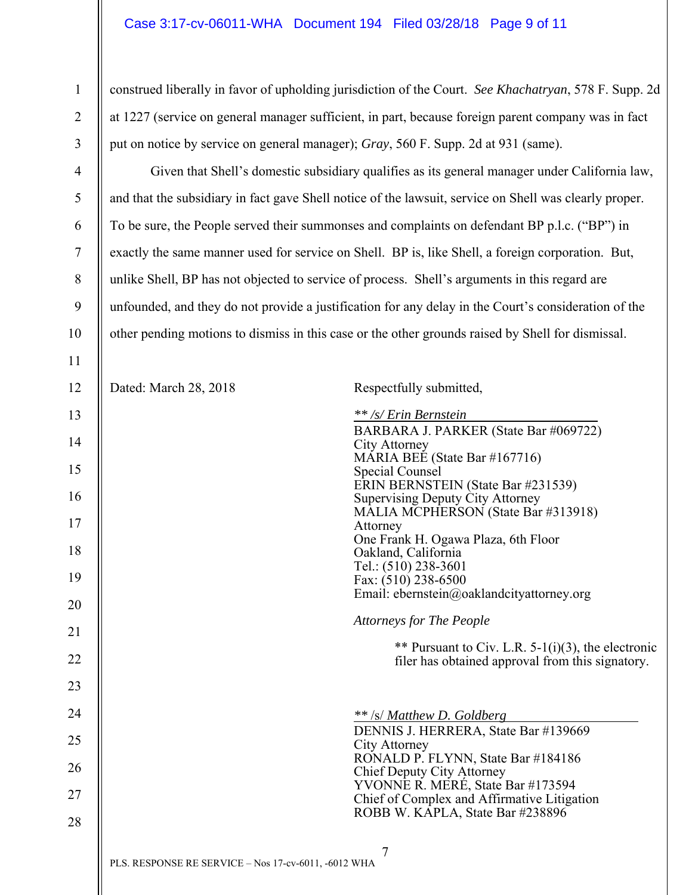# Case 3:17-cv-06011-WHA Document 194 Filed 03/28/18 Page 9 of 11

1

2

3

4

5

6

7

8

9

10

11

construed liberally in favor of upholding jurisdiction of the Court. *See Khachatryan*, 578 F. Supp. 2d at 1227 (service on general manager sufficient, in part, because foreign parent company was in fact put on notice by service on general manager); *Gray*, 560 F. Supp. 2d at 931 (same).

Given that Shell's domestic subsidiary qualifies as its general manager under California law, and that the subsidiary in fact gave Shell notice of the lawsuit, service on Shell was clearly proper. To be sure, the People served their summonses and complaints on defendant BP p.l.c. ("BP") in exactly the same manner used for service on Shell. BP is, like Shell, a foreign corporation. But, unlike Shell, BP has not objected to service of process. Shell's arguments in this regard are unfounded, and they do not provide a justification for any delay in the Court's consideration of the other pending motions to dismiss in this case or the other grounds raised by Shell for dismissal.

7 PLS. RESPONSE RE SERVICE – Nos 17-cv-6011, -6012 WHA 12 13 14 15 16 17 18 19 20 21 22 23 24 25 26 27 28 Dated: March 28, 2018 Respectfully submitted, *\*\* /s/ Erin Bernstein* BARBARA J. PARKER (State Bar #069722) City Attorney MARIA BEE (State Bar #167716) Special Counsel ERIN BERNSTEIN (State Bar #231539) Supervising Deputy City Attorney MALIA MCPHERSON (State Bar #313918) Attorney One Frank H. Ogawa Plaza, 6th Floor Oakland, California Tel.: (510) 238-3601 Fax: (510) 238-6500 Email: ebernstein@oaklandcityattorney.org *Attorneys for The People* \*\* Pursuant to Civ. L.R. 5-1(i)(3), the electronic filer has obtained approval from this signatory. *\*\** /s/ *Matthew D. Goldberg* DENNIS J. HERRERA, State Bar #139669 City Attorney RONALD P. FLYNN, State Bar #184186 Chief Deputy City Attorney YVONNE R. MERÉ, State Bar #173594 Chief of Complex and Affirmative Litigation ROBB W. KAPLA, State Bar #238896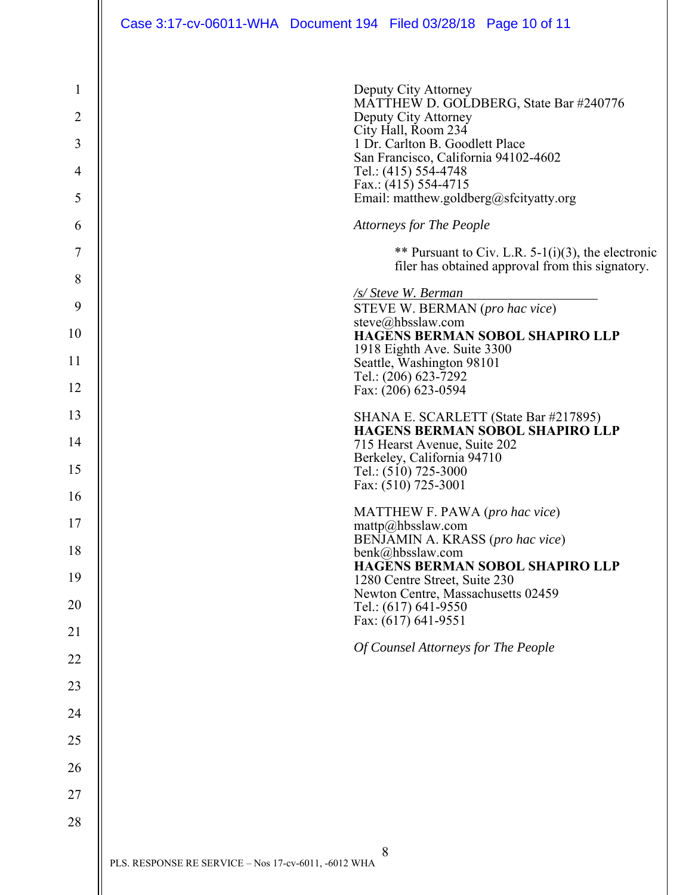| $\mathbf{1}$<br>$\overline{2}$<br>3<br>$\overline{4}$<br>5 | Deputy City Attorney<br>MATTHEW D. GOLDBERG, State Bar #240776<br>Deputy City Attorney<br>City Hall, Room 234<br>1 Dr. Carlton B. Goodlett Place<br>San Francisco, California 94102-4602<br>Tel.: (415) 554-4748<br>Fax.: $(415)$ 554-4715<br>Email: matthew.goldberg@sfcityatty.org |
|------------------------------------------------------------|--------------------------------------------------------------------------------------------------------------------------------------------------------------------------------------------------------------------------------------------------------------------------------------|
| 6                                                          | <b>Attorneys for The People</b>                                                                                                                                                                                                                                                      |
| 7                                                          | ** Pursuant to Civ. L.R. 5-1(i)(3), the electronic                                                                                                                                                                                                                                   |
| 8                                                          | filer has obtained approval from this signatory.                                                                                                                                                                                                                                     |
| 9                                                          | <b><u>/s/ Steve W. Berman</u></b><br>STEVE W. BERMAN (pro hac vice)                                                                                                                                                                                                                  |
| 10                                                         | steve@hbsslaw.com<br><b>HAGENS BERMAN SOBOL SHAPIRO LLP</b>                                                                                                                                                                                                                          |
| 11                                                         | 1918 Eighth Ave. Suite 3300<br>Seattle, Washington 98101                                                                                                                                                                                                                             |
| 12                                                         | Tel.: (206) 623-7292<br>Fax: (206) 623-0594                                                                                                                                                                                                                                          |
| 13                                                         | SHANA E. SCARLETT (State Bar #217895)                                                                                                                                                                                                                                                |
| 14                                                         | <b>HAGENS BERMAN SOBOL SHAPIRO LLP</b><br>715 Hearst Avenue, Suite 202                                                                                                                                                                                                               |
| 15                                                         | Berkeley, California 94710<br>Tel.: (510) 725-3000                                                                                                                                                                                                                                   |
| 16                                                         | Fax: (510) 725-3001                                                                                                                                                                                                                                                                  |
| 17                                                         | MATTHEW F. PAWA (pro hac vice)<br>mattp@hbsslaw.com                                                                                                                                                                                                                                  |
| 18                                                         | BENJAMIN A. KRASS (pro hac vice)<br>benk@hbsslaw.com                                                                                                                                                                                                                                 |
| 19                                                         | <b>HAGENS BERMAN SOBOL SHAPIRO LLP</b><br>1280 Centre Street, Suite 230                                                                                                                                                                                                              |
| 20                                                         | Newton Centre, Massachusetts 02459<br>Tel.: (617) 641-9550                                                                                                                                                                                                                           |
| 21                                                         | Fax: (617) 641-9551                                                                                                                                                                                                                                                                  |
| 22                                                         | Of Counsel Attorneys for The People                                                                                                                                                                                                                                                  |
| 23                                                         |                                                                                                                                                                                                                                                                                      |
| 24                                                         |                                                                                                                                                                                                                                                                                      |
| 25                                                         |                                                                                                                                                                                                                                                                                      |
| 26                                                         |                                                                                                                                                                                                                                                                                      |
| 27                                                         |                                                                                                                                                                                                                                                                                      |
| 28                                                         |                                                                                                                                                                                                                                                                                      |
|                                                            |                                                                                                                                                                                                                                                                                      |
|                                                            | 8<br>PLS. RESPONSE RE SERVICE - Nos 17-cv-6011, -6012 WHA                                                                                                                                                                                                                            |